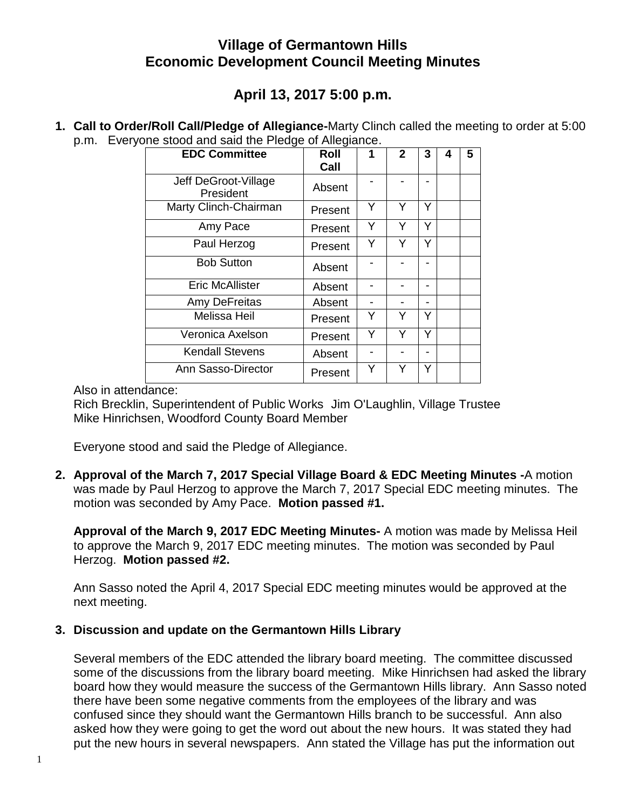# **Village of Germantown Hills Economic Development Council Meeting Minutes**

# **April 13, 2017 5:00 p.m.**

**1. Call to Order/Roll Call/Pledge of Allegiance-**Marty Clinch called the meeting to order at 5:00 p.m. Everyone stood and said the Pledge of Allegiance.

| <b>EDC Committee</b>              | Roll<br>Call | 1 | $\mathbf{2}$ | 3 | 4 | 5 |
|-----------------------------------|--------------|---|--------------|---|---|---|
| Jeff DeGroot-Village<br>President | Absent       |   |              |   |   |   |
| Marty Clinch-Chairman             | Present      | Y | Y            | Y |   |   |
| Amy Pace                          | Present      | Y | Y            | Y |   |   |
| Paul Herzog                       | Present      | Y | Y            | Y |   |   |
| <b>Bob Sutton</b>                 | Absent       |   |              |   |   |   |
| <b>Eric McAllister</b>            | Absent       |   |              |   |   |   |
| Amy DeFreitas                     | Absent       |   |              |   |   |   |
| Melissa Heil                      | Present      | Y | Y            |   |   |   |
| Veronica Axelson                  | Present      | Y | Y            | Y |   |   |
| <b>Kendall Stevens</b>            | Absent       |   |              |   |   |   |
| Ann Sasso-Director                | Present      | Y | Υ            | Y |   |   |

Also in attendance:

Rich Brecklin, Superintendent of Public Works Jim O'Laughlin, Village Trustee Mike Hinrichsen, Woodford County Board Member

Everyone stood and said the Pledge of Allegiance.

**2. Approval of the March 7, 2017 Special Village Board & EDC Meeting Minutes -**A motion was made by Paul Herzog to approve the March 7, 2017 Special EDC meeting minutes. The motion was seconded by Amy Pace. **Motion passed #1.**

**Approval of the March 9, 2017 EDC Meeting Minutes-** A motion was made by Melissa Heil to approve the March 9, 2017 EDC meeting minutes. The motion was seconded by Paul Herzog. **Motion passed #2.**

Ann Sasso noted the April 4, 2017 Special EDC meeting minutes would be approved at the next meeting.

## **3. Discussion and update on the Germantown Hills Library**

Several members of the EDC attended the library board meeting. The committee discussed some of the discussions from the library board meeting. Mike Hinrichsen had asked the library board how they would measure the success of the Germantown Hills library. Ann Sasso noted there have been some negative comments from the employees of the library and was confused since they should want the Germantown Hills branch to be successful. Ann also asked how they were going to get the word out about the new hours. It was stated they had put the new hours in several newspapers. Ann stated the Village has put the information out